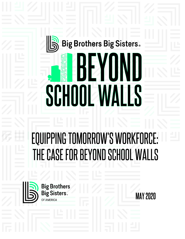# Big Brothers Big Sisters.

 $\mathbf{Z}$ 

**ILANATIAS** 

# **EQUIPPING TOMORROW'S WORKFORCE:** THE CASE FOR BEYOND SCHOOL WALLS



**Big Brothers**<br>Big Sisters. OF AMERICA

SCHOI

**MAY 2020**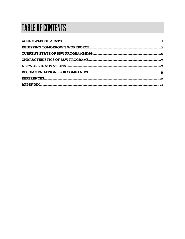# **TABLE OF CONTENTS**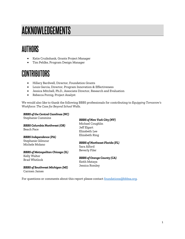# <span id="page-2-0"></span>ACKNOWLEDGEMENTS

### **AUTHORS**

- Katie Cruikshank, Grants Project Manager
- Tim Pehlke, Program Design Manager

### **CONTRIBUTORS**

- Hillary Bardwell, Director, Foundation Grants
- Louis Garcia, Director, Program Innovation & Effectiveness
- Jessica Mitchell, Ph.D., Associate Director, Research and Evaluation
- Rebecca Porzig, Project Analyst

We would also like to thank the following BBBS professionals for contributing to *Equipping Tomorrow's Workforce: The Case for Beyond School Walls*.

#### *BBBS of the Central Carolinas (NC)*

Stephanie Cummins

*BBBS Columbia Northwest (OR)* Beach Pace

*BBBS Independence (PA)* Stephanie Gilmour Michele Molano

#### *BBBS of Metropolitan Chicago (IL)*

Kelly Walter Brad Whitlock

*BBBS of Southwest Michigan (MI)* Carmen James

#### *BBBS of New York City (NY)*

Michael Coughlin Jeff Elgart Elizabeth Lee Elizabeth Ring

#### *BBBS of Northeast Florida (FL)*

Sara Alford Beverly Filer

#### *BBBS of Orange County (CA)* Keith Mataya Jessica Romley

For questions or comments about this report please contact foundations@bbbsa.org.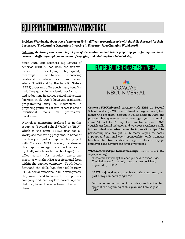## <span id="page-3-0"></span>**EQUIPPING TOMORROW'S WORKFORCE**

*Problem: Worldwide, about 40% of employers find it difficult to recruit people with the skills they need for their businesses (The Learning Generation: Investing in Education for a Changing World 2016).* 

*Solution: Mentoring can be an integral part of the solution in both better preparing youth for high-demand careers and offering employers a means of engaging and retaining their talented staff.* 

Since 1904, Big Brothers Big Sisters of America (BBBSA) has been the national leader in developing high-quality, meaningful, one-to-one mentoring relationships between youth and caring adults. Traditional Big Brothers Big Sisters (BBBS) programs offer youth many benefits, including gains in academic performance and reductions in serious school infractions (Herrera et al., 2007); however, traditional programming may be insufficient in preparing youth for careers if there is not an intentional focus on professional development.

Workplace mentoring (referred to in this report as "Beyond School Walls" or "BSW," which is the name BBBSA uses for all workplace mentoring programs, in honor of our ten-year partnership on this project with Comcast NBCUniversal) addresses this gap by engaging a cohort of youth (typically middle- or high-school aged) in an office setting for regular, one-to-one meetings with their Big, a professional from within the partner company. Youth learn firsthand the skills (e.g., financial literacy, STEM, social-emotional skill development) they would need to succeed in the partner company and can explore career options that may have otherwise been unknown to them.

#### **FEATURED PARTNER: COMCAST NBCUNIVERSA**



**Comcast NBCUniversal** partners with BBBS on Beyond School Walls (BSW), the network's largest workplace mentoring program. Started in Philadelphia in 2008, the program has grown to serve over 350 youth annually across 14 markets. Through their involvement with BSW, youth learn digital inclusion and workforce readiness skills in the context of one-to-one mentoring relationships. The partnership has brought BBBS media exposure, board support, and national event sponsorship, while Comcast has benefited from additional opportunities to engage employees and develop the future workforce.

**What motivated you to become a Big?** *(Source: Comcast BSW employee survey)*

"I was…motivated by the change I saw in other Bigs. The Littles aren't the only ones that are positively impacted by BBBS."

"[BSW is a] good way to give back to the community as part of my company program."

"At the recommendation of my colleagues I decided to apply at the beginning of this year, and I am so glad I did!"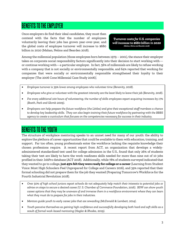### **BENEFITS TO THE EMPLOYER**

Once employers do find their ideal candidates, they must then contend with the facts that the number of employees voluntarily leaving their jobs has grown year-over-year, and the global costs of employee turnover will increase to \$680 billion in 2020 (Mahan, Nelms and Bearden 2018).

*Turnover costs for U.S. companies will increase to \$680 billion in 2020 (Mahan, Nelms and Bearden 2018)*

Among the millennial population (those employees born between 1979 – 2001), the stance their employer takes on corporate social responsibility factors significantly into their decision to start working with or continue working with—a particular employer. In fact, 56% of millennials are likely to refuse working with a company that is not socially or environmentally responsible, and 64% reported that working for companies that were socially or environmentally responsible strengthened their loyalty to their employer (The 2006 Cone Millennial Case Study 2006).

- *Employee turnover is 39% lower among employees who volunteer time (Benevity, 2018).*
- *Employees who give or volunteer with the greatest intensity are the least likely to leave their job (Benevity, 2018).*
- *For every additional 100 hours of volunteering, the number of skills employees report acquiring increases by 17% (Booth, Park and Glomb 2009).*
- *Employers can help prepare the future workforce (the Littles) and give their exceptional staff members a chance to develop key leadership skills. They can also begin training their future workforce by partnering with the BBBS agency to create a curriculum that focuses on the competencies necessary for success in their industry.*

### **BENEFITS TO THE YOUTH**

The structure of workplace mentoring speaks to an unmet need for many of our youth: the ability to explore the plethora of career opportunities that could be available to them with education, training, and support. Far too often, young professionals enter the workforce lacking the requisite knowledge their chosen professions require. A recent report from ACT, an organization that develops a widelyadministered standardized test used for college admission in the U.S., found that only 26% of students taking their test are likely to have the work readiness skills needed for more than nine out of 10 jobs profiled in their JobPro database (ACT 2018). Additionally, while 78% of students surveyed indicated that they wanted to go to college, **just 45% felt they were ready for college or a career** (Learning from Student Voice: Most High Schoolers Feel Unprepared for College and Careers 2016), and 39% reported that their formal schooling did not prepare them for the job they wanted (Preparing Tomorrow's Workforce for the Fourth Industrial Revolution 2018).

- *Over 50% of high school juniors report schools do not adequately help match their interests to potential jobs or advise on steps to secure a desired career (U. S. Chamber of Commerce Foundation, 2016). BSW can show youth career options that they may be unaware of and immerse them in a workforce environment where they can learn what they must do to prepare for jobs in their industries.*
- *Mentors guide youth to early career jobs that are rewarding (McDonald & Lambert, 2014).*
- *Youth perceive themselves as gaining high confidence and successfully developing both hard and soft skills as a result of formal work-based mentoring (Hagler & Rhodes, 2019).*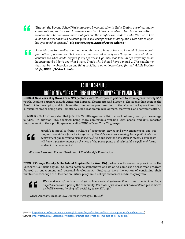

*Through the Beyond School Walls program, I was paired with Nafis. During one of our many conversations, we discussed his dreams, and he told me he wanted to be a boxer. We talked a lot about how he plans to achieve that goal and the sacrifices he needs to make. We also talked a lot about other avenues he could pursue, like college or the military, and I was able to open his eyes to other options." -Big Brother Roger, BBBS of Metro Atlanta 1*

*I would come to a realization that he wanted me to have options so I wouldn't close myself f from other opportunities. He knew my mind was set on only one thing and I was blind and from other opportunities. He knew my mind was set on only one thing and I was blind and couldn't see what could happen if my life doesn't go into that lane. In life anything could happen; maybe I don't get what I want. That's why I should have a plan B … This taught me that maybe my obsession on one thing could have other doors closed for me." -Little Brother Nafis, BBBS of Metro Atlanta*

#### **FEATURED AGENCIES:**

### BBBS OF NEW YORK CITY | BBBS OF ORANGE COUNTY & THE INLAND EMPIRE

**BBBS of New York City (New York, NY)** partners with 70 corporate partners to serve approximately 900 youth. Leading partners include American Express, Bloomberg, and Moody's. The agency has been at the forefront in developing and implementing innovative programming in the after-school space through a curriculum emphasizing social-emotional skills, leadership development, teamwork, and communication.

In 2018, BBBS of NYC reported that 98% of BSW Littles graduated high school on time (the city-wide average is 74%). In addition, 96% reported being more comfortable working with people and 85% reported improvement in their public speaking skills (BBBS of New York City, 2019).



*Moody's is proud to foster a culture of community service and civic engagement, and this program was driven from its inception by Moody's employees seeking to help eliminate the achievement gap for young men of color […] We hope that the dedication of Moody's employees will have a positive impact on the lives of the participants and help build a pipeline of future leaders in our community."*

-Frances Laserson, Former President of The Moody's Foundation

**BBBS of Orange County & the Inland Empire (Santa Ana, CA)** partners with seven corporations in the Southern California region. Students begin as sophomores and go on to complete a three-year program focused on engagement and personal development. Graduates have the option of continuing their involvement through the Destination Future program, a college and career readiness program.



*We spend most of our days working long hours, so having these children come to our building helps us feel like we are a part of the community. For those of us who do not have children yet, it makes us feel like we are helping add positivity to a child's life."*

-Olivia Albrecht, Head of ESG Business Strategy,  $PIMCO<sup>2</sup>$ 

<sup>&</sup>lt;sup>1</sup> (Source: <u>https://www.uschamberfoundation.org/blog/post/beyond-school-walls-combining-mentorship-job-learning)</u>

<sup>2</sup> (Source[: https://patch.com/california/newportbeach/pimco-employees-become-bigs-to-needy-oc-kids](https://patch.com/california/newportbeach/pimco-employees-become-bigs-to-needy-oc-kids))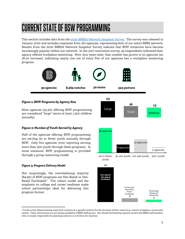## <span id="page-6-0"></span>**CURRENT STATE OF BSW PROGRAMMING**

This section includes data from th[e 2020 BBBSA Network Snapshot Survey.](https://bbbsconnect.sharepoint.com/pages/2020%20Network%20Snapshot.) The survey was released in January 2020 and includes responses from 162 agencies, representing 60% of our entire BBBS network. Results from the 2020 BBBSA Network Snapshot Survey indicate that BSW initiatives have become increasingly popular within our network. In the 2017 innovation survey, 44 respondents indicated their agency offered workplace mentoring. Now, four years later, that number has grown to 52 agencies (an 18.2% increase), indicating nearly one out of every five of our agencies has a workplace mentoring program.



#### *Figure 1: BSW Programs by Agency Size*

Most agencies (43.4%) offering BSW programming are considered "large" (serve at least 1,500 children annually).

#### *Figure 2: Number of Youth Served by Agency*

Half of the agencies offering BSW programming are serving 50 or fewer youth annually through BSW. Only five agencies (10%) reporting serving more than 500 youth through these programs. In some instances, BSW programming is provided through a group mentoring model.

#### *Figure 3: Program Delivery Model*

Not surprisingly, the overwhelming majority (84.9%) of BSW programs are Site-Based or Site-Based Facilitated.<sup>3</sup> The cohort model and the emphasis on college and career readiness make school partnerships ideal for delivering this program format.



<sup>&</sup>lt;sup>3</sup> Youth in Site-Based matches meet their mentors at a specific location for the duration of their match (e.g., school, workplace, community center). Their interactions are not always guided by a BBBS staff person. Site-Based Facilitated programs involve the BBBS staff member, who is usually responsible for planning sessions or activities for matches.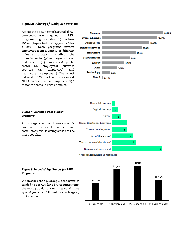#### *Figure 4: Industry of Workplace Partners*

Across the BBBS network, a total of 343 employers are engaged in BSW programming, including 29 Fortune 100 employers (refer to Appendix A for a list). Such programs involve employers from a variety of different industry groups, including the financial sector (98 employers), travel and leisure (49 employers), public sector (49 employers), business services (47 employers), and healthcare (42 employers). The largest national BSW partner is Comcast NBCUniversal, which supports 350 matches across 14 sites annually.





#### \* recoded from write-in responses



#### *Figure 5: Curricula Used in BSW Programs*

Among agencies that do use a specific curriculum, career development and social-emotional learning skills are the most popular.

*Figure 6: Intended Age Groups for BSW* 

When asked the age group(s) that agencies tended to recruit for BSW programming, the most popular answer was youth ages 13 – 16 years old, followed by youth ages 9

*Programs*

– 12 years old.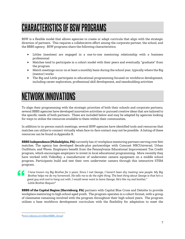# <span id="page-8-0"></span>**CHARACTERISTICS OF BSW PROGRAMS**

BSW is a flexible model that allows agencies to create or adapt curricula that align with the strategic direction of partners. This requires a collaborative effort among the corporate partner, the school, and the BBBS agency. BSW programs share the following characteristics:

- Littles (mentees) are engaged in a one-to-one mentoring relationship with a business professional
- Matches tend to participate in a cohort model with their peers and eventually "graduate" from the program
- Match meetings occur on at least a monthly basis during the school year, typically where the Big (mentor) works
- The Big and Little participate in educational programming focused on workforce development, including career exploration, professional skill development, and teambuilding activities

### <span id="page-8-1"></span>**NETWORK INNOVATIONS**

To align their programming with the strategic priorities of both their schools and corporate partners, several BBBS agencies have developed innovative activities or pursued creative ideas that are tailored to the specific needs of both partners. These are included below and may be adapted by agencies looking for ways to utilize the resources available to them within their communities.

In addition to in-person match meetings, several BSW agencies have identified tools and resources that matches can utilize to connect virtually when face-to-face contact may not be possible. A listing of these resources can be found in Appendix B.

**BBBS Independence (Philadelphia, PA)** currently has 27 workplace mentoring partners serving over 600 matches. The agency has developed decade-plus partnerships with Comcast NBCUniversal, Urban Outfitters, and Wawa. Employers benefit from the Pennsylvania Educational Improvement Tax Credit program, which encourages employers to invest in local educational programming. More recently they have worked with VideoRay, a manufacturer of underwater camera equipment on a middle school program. Participants build and test their own underwater camera through this interactive STEM program.

*I have known my Big Brother for 2 years. Since I met George, I haven't been shy meeting new people. My Big Brother helps me do my homework. He tells me to do the right thing. The best thing about George is that he's a great guy and cool to hang out with. I would never want to leave George. He's like my real brother." -Little Brother Raquon<sup>4</sup>*

**BBBS of the Capital Region (Harrisburg, PA)** partners with Capital Blue Cross and Deloitte to provide workplace mentoring to high school aged youth. The program operates in a cohort format, with a group of classmates remaining involved with the program throughout their high school years. The program utilizes a base workforce development curriculum with the flexibility for adaptation to meet the

<sup>4</sup> *[\(www.videoray.com/bbbs#!BBBS\\_Group\)](http://www.videoray.com/bbbs#!BBBS_Group)*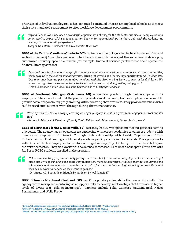priorities of individual employers. It has generated continued interest among local schools, as it meets their state mandated requirement to offer workforce development programming.

*Beyond School Walls has been a wonderful opportunity, not only for the students, but also our employees who volunteered to be part of this unique program. The mentoring relationships they have built with the students has been a positive, rewarding experience."* 

*-Gary D. St. Hilaire, President and CEO, Capital BlueCross*

**BBBS of the Central Carolinas (Charlotte, NC)** partners with employers in the healthcare and financial sectors to serve 150 matches per year. They have successfully leveraged this expertise by developing customized industry specific curricula (for example, financial services partners use their specialized financial literacy content).

*Quicken Loans is a for-more-than-profit company, meaning we reinvest our success back into our communities, that's why we're focused on educating youth, driving job growth and increasing opportunity for all in Charlotte. Our team members are passionate about working with Big Brothers Big Sisters to mentor local children. We value this organization as we continue to live at the intersection of doing well by doing good." -Dave Schroeder, Senior Vice President, Quicken Loans Mortgage Services<sup>5</sup>*

**BBBS of Southwest Michigan (Kalamazoo, MI)** serves 100 youth through partnerships with 12 employers. They have found that the program provides an attractive option for employers who want to provide social responsibility programming without leaving their worksite. They provide matches with a self-directed curriculum to work through during their time together.

*Working with BBBS is our way of creating an ongoing legacy. Plus it is a great team engagement tool and it's fun!"*

*-Andrea A. Montecchi, Director of Supply Chain Relationship Management, Stryker Instruments<sup>6</sup>*

**BBBS of Northeast Florida (Jacksonville, FL)** currently has 10 workplace mentoring partners serving 250 youth. The agency has enjoyed success partnering with career academies to connect students with mentors at employers of interest. Through their relationship with Florida Department of Law Enforcement youth attending a public safety academy participate in a mock crime lab. The agency works with General Electric employees to facilitate a bridge building project activity with matches that spans the entire semester. They also work with the defense contractor LSI to host a helicopter simulation with Air Force ROTC students enrolled in the program.

44

*"This is an exciting program not only for my students … but for the community. Again, it allows them to get more into critical thinking skills, more communication, more collaboration. It allows them to look beyond the school walls and see what's out there for them to do after they are finished high school, going to college, and then decide what career choice they want to go into,"* 

*-Dr. Gregory D. Bostic, Jean Ribault Senior High School Principal<sup>7</sup>*

**BBBS Columbia Northwest (Portland, OR)** has 11 corporate partnerships that serve 141 youth.The agency views workplace mentoring as an opportunity to develop relationships that translate to higher levels of giving (e.g., gala sponsorships). Partners include Nike, Comcast NBCUniversal, Kaiser Permanente, and Wells Fargo.

<sup>5</sup> [\(https://bbbscentralcarolinas.org/wp-content/uploads/BBBSNews\\_Nov2017\\_WebLayout.pdf\)](https://bbbscentralcarolinas.org/wp-content/uploads/BBBSNews_Nov2017_WebLayout.pdf)

<sup>6</sup>*[http://www.bbbsmi.org/2017/11/08/stryker-employees-interns-champion-bbbs-cause/\)](http://www.bbbsmi.org/2017/11/08/stryker-employees-interns-champion-bbbs-cause/)*

<sup>7</sup> *[https://www.news4jax.com/positively-jax/2020/01/24/ribault-high-school-takes-mentoring-beyond-school-walls/\)](https://www.news4jax.com/positively-jax/2020/01/24/ribault-high-school-takes-mentoring-beyond-school-walls/)*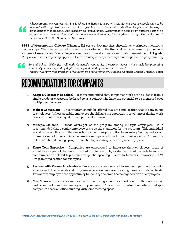*When corporations connect with Big Brothers Big Sisters, it helps with recruitment because people want to be involved with organizations that want to give back … It helps with retention. People want to stay in organizations that give back. And it helps with team building. When you have people from different parts of an organization in this room that would normally never work together, it strengthens the organizational culture." -Beach Pace, CEO, BBBS Columbia Northwest<sup>8</sup>*

**BBBS of Metropolitan Chicago (Chicago, IL)** serves 800 matches through 34 workplace mentoring partnerships. The agency has had success collaborating with the financial sector, where companies such as Bank of America and Wells Fargo are required to meet annual Community Reinvestment Act goals. They are currently exploring opportunities for multiple companies to partner together on programming



*Beyond School Walls fits well with Comcast's community investment focus, which includes promoting community service, expanding digital literacy, and building tomorrow's leaders." -Matthew Summy, Vice President of Government and Community Relations, Comcast Greater Chicago Region* 

### <span id="page-10-0"></span>**RECOMMENDATIONS FOR COMPANIES**

- 1. **Adopt a Classroom or School** It is recommended that companies work with students from a single grade or classroom (referred to as a cohort) who have the potential to be mentored over multiple school years.
- 2. **Make it Convenient** This program should be offered at a time and location that is convenient to employees. Where possible, employees should have the opportunity to volunteer during work hours without incurring additional personal expenses.
- 3. **Multiple Liaisons** Divide oversight of the program among multiple employees. It is recommended that a senior employee serve as the champion for the program. This individual would serve as a liaison to the executive team with responsibility for securing funding and access to employee volunteers. Another employee, typically from Human Resources or Community Relations, should manage program related logistics (e.g., reserving meeting space).
- 4. **Share Your Expertise** Companies are encouraged to integrate their employees' areas of expertise as a part of the overall curriculum. For example, a sales team could include lessons on communication-related topics such as public speaking. Refer to Network Innovation: BSW Programming section for examples.
- 5. **Partner with Career Academies**  Employers are encouraged to seek out partnerships with schools and other educational programs where students are pursuing careers in related fields. This allows employers the opportunity to identify and train the next generation of employees.
- 6. **Cost Share**  If the costs associated with mentoring an entire cohort are prohibitive, consider partnering with another employer in your area. This is ideal in situations where multiple companies share an office building with joint meeting space.

<sup>8</sup> *[\(https://www.columbian.com/news/2019/may/21/kaiser-big-brothers-big-sisters-match-staff-with-students-to-mentor/\)](https://www.columbian.com/news/2019/may/21/kaiser-big-brothers-big-sisters-match-staff-with-students-to-mentor/)*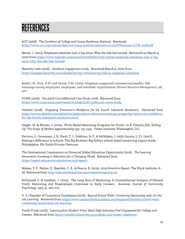# <span id="page-11-0"></span>REFERENCES

ACT (2018). *The Condition of College and Career Readiness National.* Retrieved <https://www.act.org/content/dam/act/unsecured/documents/cccr2018/National-CCCR-2018.pdf>

Bersin, J. (2013). Employee retention now a big issue: Why the tide has turned. Retrieved on March 4, 2020 from [https://www.linkedin.com/pulse/20130816200159-131079-employee-retention-now-a-big](https://www.linkedin.com/pulse/20130816200159-131079-employee-retention-now-a-big-issue-why-the-tide-has-turned/)[issue-why-the-tide-has-turned/.](https://www.linkedin.com/pulse/20130816200159-131079-employee-retention-now-a-big-issue-why-the-tide-has-turned/)

Benevity Labs (2018). *Goodness engagement study*. Retrieved March 4, 2020 from <https://insights.benevity.com/ebooks/giving-volunteering-link-to-employee-retention>

Booth, J.E., Park, K.W. and Glomb, T.M. (2009). Employer‐supported volunteering benefits: Gift exchange among employers, employees, and volunteer organizations. *Human Resource Management, 48,*  227

CONE (2006). *The 2006 Cone Millennial Case Study 2006*. Retrieved from <https://www.conecomm.com/research-blog/2006-millennial-cause-study>

Deloitte (2018). *Preparing Tomorrow's Workforce for the Fourth Industrial Revolution*. Retrieved from [https://www2.deloitte.com/global/en/pages/about-deloitte/articles/gx-preparing-tomorrow-workforce](https://www2.deloitte.com/global/en/pages/about-deloitte/articles/gx-preparing-tomorrow-workforce-for-the-fourth-industrial-revolution.html)[for-the-fourth-industrial-revolution.html](https://www2.deloitte.com/global/en/pages/about-deloitte/articles/gx-preparing-tomorrow-workforce-for-the-fourth-industrial-revolution.html)

Hagler, M. & Rhodes, J. (2019). Work-Based Mentoring Programs for Youth. In E. Dimeny (Ed), *Skilling Up: The Scope of Modern Apprenticeship* (pp. 133-144). Urban Institute: Washington, D.C.

Herrera, C., Grossman, J. B., Kauh, T. J., Feldman, A. F., & McMaken, J. (with Jucovy, L. Z.). (2007). Making a difference in schools: The Big Brothers Big Sisters school-based mentoring impact study. Philadelphia, PA: Public/Private Ventures.

The International Commission on Financial Global Education Opportunity (2016). *The Learning Generation: Investing in Education for a Changing World.* Retrieved from [https://report.educationcommission.org/report/.](https://report.educationcommission.org/report/)

Mahan, T. F., Nelms, D., Beardon, C. R., & Pearce, B. (2019). *2019 Retention Report*. The Work Institute, 6- 26. Retrieved from [http://info.workinstitute.com/retentionreport2019.](http://info.workinstitute.com/retentionreport2019)

McDonald, S. & Lambert, J. (2014). The Long Arm of Mentoring: A Counterfactual Analysis of Natural Youth Mentoring and Employment Outcomes in Early Careers. *American Journal of Community Psychology,* 54(3-4), 262-273.

U. S. Chamber of Commerce Foundation (2016). *Beyond School Walls: Combining Mentorship with On-the-Job Learning*. Retrieved from [https://www.uschamberfoundation.org/blog/post/beyond-school-walls](https://www.uschamberfoundation.org/blog/post/beyond-school-walls-combining-mentorship-job-learning)[combining-mentorship-job-learning.](https://www.uschamberfoundation.org/blog/post/beyond-school-walls-combining-mentorship-job-learning)

Youth Truth (2016). *Learning from Student Voice: Most High Schoolers Feel Unprepared for College and Careers*. Retrieved from [https://youthtruthsurvey.org/college-and-career-readiness/.](https://youthtruthsurvey.org/college-and-career-readiness/)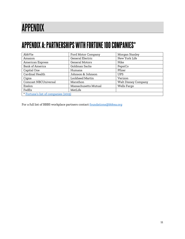# <span id="page-12-0"></span>**APPENDIX**

### **APPENDIX A: PARTNERSHIPS WITH FORTUNE 100 COMPANIES\***

| AbbVie                               | Ford Motor Company   | Morgan Stanley             |  |
|--------------------------------------|----------------------|----------------------------|--|
| Amazon                               | General Electric     | New York Life              |  |
| American Express                     | General Motors       | Nike                       |  |
| <b>Bank of America</b>               | Goldman Sachs        | PepsiCo                    |  |
| Capital One                          | Humana               | Pfizer                     |  |
| Cardinal Health                      | Johnson & Johnson    | <b>UPS</b>                 |  |
| Cigna                                | Lockheed Martin      | Verizon                    |  |
| Comcast NBCUniversal                 | Marathon             | <b>Walt Disney Company</b> |  |
| Exelon                               | Massachusetts Mutual | Wells Fargo                |  |
| FedEx                                | MetLife              |                            |  |
| * Fortune's list of companies (2019) |                      |                            |  |

For a full list of BBBS workplace partners contact **foundations@bbbsa.org**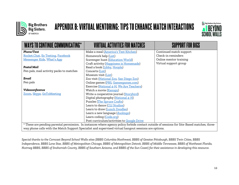



## APPENDIX B: VIRTUAL MENTORING: TIPS TO ENHANCE MATCH INTERACTIONS



| <b>WAYS TO CONTINUE COMMUNICATING*</b>                                                                                                       | <b>VIRTUAL ACTIVITIES FOR MATCHES</b>      | <b>SUPPORT FOR BIGS</b> |  |
|----------------------------------------------------------------------------------------------------------------------------------------------|--------------------------------------------|-------------------------|--|
| Phone/Text                                                                                                                                   | Make a meal (America's Test Kitchen)       | Continued match support |  |
| Rocket.Chat, Ez Texting, Facebook                                                                                                            | Homework help (List)                       | Check-in reminders      |  |
| Messenger Kids, What's App                                                                                                                   | Scavenger hunt (Education World)           | Online mentor training  |  |
|                                                                                                                                              | Craft activity (Happiness is Homemade)     | Virtual support group   |  |
| <b>Postal Mail</b>                                                                                                                           | Read a book (Libby, Hoopla)                |                         |  |
| Pen pals, mail activity packs to matches                                                                                                     | Concerts (List)                            |                         |  |
|                                                                                                                                              | Museum visit (List)                        |                         |  |
| Email                                                                                                                                        | Zoo visit (National Zoo, San Diego Zoo)    |                         |  |
| Pen pals                                                                                                                                     | Online games (PBS, Gamesgames.com)         |                         |  |
|                                                                                                                                              | Exercise (National 4-H, We Are Teachers)   |                         |  |
| Videoconference                                                                                                                              | Watch a movie (Kanopy)                     |                         |  |
| Zoom, Skype, GoToMeeting                                                                                                                     | Write a cooperative journal (Storybird)    |                         |  |
|                                                                                                                                              | Digital photography (National 4-H)         |                         |  |
|                                                                                                                                              | Puzzles (The Spruce Crafts)                |                         |  |
|                                                                                                                                              | Learn to dance (CLI Studios)               |                         |  |
|                                                                                                                                              | Learn to draw (Lunch Doodles)              |                         |  |
|                                                                                                                                              | Learn a new language (duolingo)            |                         |  |
|                                                                                                                                              | Learn coding (Code.org)                    |                         |  |
|                                                                                                                                              | Post curriculum/activities to Google Drive |                         |  |
| * These are pending parental permission. In instances where agency policy forbids contact outside of sessions for Site-Based matches, three- |                                            |                         |  |
| way phone calls with the Match Support Specialist and supervised virtual hangout sessions are options.                                       |                                            |                         |  |

*Special thanks to the Comcast Beyond School Walls sites (BBBS Columbia Northwest, BBBS of Greater Pittsburgh, BBBS Twin Cities, BBBS Independence, BBBS Lone Star, BBBS of Metropolitan Chicago, BBBS of Metropolitan Detroit, BBBS of Middle Tennessee, BBBS of Northeast Florida, Nutmeg BBBS, BBBS of Snohomish County, BBBS of Southern Arizona, and BBBS of the Sun Coast) for their assistance in developing this resource.*